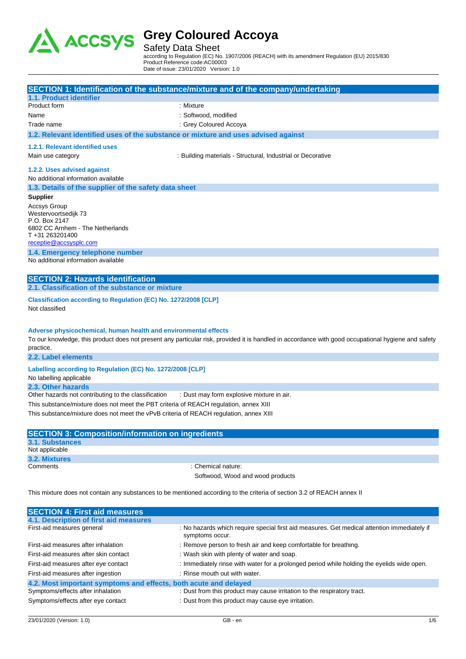

Safety Data Sheet

according to Regulation (EC) No. 1907/2006 (REACH) with its amendment Regulation (EU) 2015/830 Product Reference code:AC00003 Date of issue: 23/01/2020 Version: 1.0

|                                                                                                                                              | SECTION 1: Identification of the substance/mixture and of the company/undertaking                                                                   |
|----------------------------------------------------------------------------------------------------------------------------------------------|-----------------------------------------------------------------------------------------------------------------------------------------------------|
| 1.1. Product identifier                                                                                                                      |                                                                                                                                                     |
| Product form                                                                                                                                 | : Mixture                                                                                                                                           |
| Name                                                                                                                                         | : Softwood, modified                                                                                                                                |
| Trade name                                                                                                                                   | : Grey Coloured Accoya                                                                                                                              |
| 1.2. Relevant identified uses of the substance or mixture and uses advised against                                                           |                                                                                                                                                     |
| 1.2.1. Relevant identified uses                                                                                                              |                                                                                                                                                     |
| Main use category                                                                                                                            | : Building materials - Structural, Industrial or Decorative                                                                                         |
| 1.2.2. Uses advised against                                                                                                                  |                                                                                                                                                     |
| No additional information available                                                                                                          |                                                                                                                                                     |
| 1.3. Details of the supplier of the safety data sheet                                                                                        |                                                                                                                                                     |
| <b>Supplier</b>                                                                                                                              |                                                                                                                                                     |
| <b>Accsys Group</b><br>Westervoortsedijk 73<br>P.O. Box 2147<br>6802 CC Arnhem - The Netherlands<br>T+31 263201400<br>receptie@accsysplc.com |                                                                                                                                                     |
| 1.4. Emergency telephone number                                                                                                              |                                                                                                                                                     |
| No additional information available                                                                                                          |                                                                                                                                                     |
| <b>SECTION 2: Hazards identification</b>                                                                                                     |                                                                                                                                                     |
| 2.1. Classification of the substance or mixture                                                                                              |                                                                                                                                                     |
| Classification according to Regulation (EC) No. 1272/2008 [CLP]<br>Not classified                                                            |                                                                                                                                                     |
| Adverse physicochemical, human health and environmental effects<br>practice.<br>2.2. Label elements                                          | To our knowledge, this product does not present any particular risk, provided it is handled in accordance with good occupational hygiene and safety |
|                                                                                                                                              |                                                                                                                                                     |
| Labelling according to Regulation (EC) No. 1272/2008 [CLP]<br>No labelling applicable                                                        |                                                                                                                                                     |
| 2.3. Other hazards                                                                                                                           |                                                                                                                                                     |
| Other hazards not contributing to the classification                                                                                         | : Dust may form explosive mixture in air.                                                                                                           |
| This substance mixture does not meet the DDT exiteria of DEACH requision cannot VIII                                                         |                                                                                                                                                     |

This substance/mixture does not meet the PBT criteria of REACH regulation, annex XIII

This substance/mixture does not meet the vPvB criteria of REACH regulation, annex XIII

| <b>SECTION 3: Composition/information on ingredients</b> |                                  |
|----------------------------------------------------------|----------------------------------|
| 3.1. Substances                                          |                                  |
| Not applicable                                           |                                  |
| 3.2. Mixtures                                            |                                  |
| Comments                                                 | : Chemical nature:               |
|                                                          | Softwood, Wood and wood products |

This mixture does not contain any substances to be mentioned according to the criteria of section 3.2 of REACH annex II

| <b>SECTION 4: First aid measures</b>                             |                                                                                                                |
|------------------------------------------------------------------|----------------------------------------------------------------------------------------------------------------|
| 4.1. Description of first aid measures                           |                                                                                                                |
| First-aid measures general                                       | : No hazards which require special first aid measures. Get medical attention immediately if<br>symptoms occur. |
| First-aid measures after inhalation                              | : Remove person to fresh air and keep comfortable for breathing.                                               |
| First-aid measures after skin contact                            | : Wash skin with plenty of water and soap.                                                                     |
| First-aid measures after eye contact                             | : Immediately rinse with water for a prolonged period while holding the eyelids wide open.                     |
| First-aid measures after ingestion                               | : Rinse mouth out with water.                                                                                  |
| 4.2. Most important symptoms and effects, both acute and delayed |                                                                                                                |
| Symptoms/effects after inhalation                                | : Dust from this product may cause irritation to the respiratory tract.                                        |
| Symptoms/effects after eye contact                               | : Dust from this product may cause eye irritation.                                                             |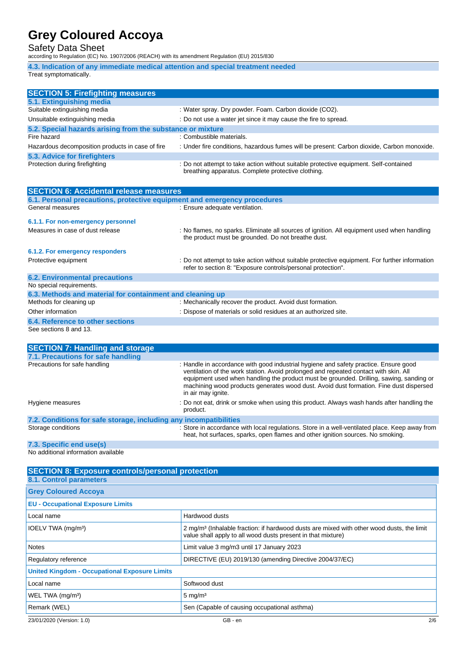### Safety Data Sheet

according to Regulation (EC) No. 1907/2006 (REACH) with its amendment Regulation (EU) 2015/830

**4.3. Indication of any immediate medical attention and special treatment needed** Treat symptomatically.

| <b>SECTION 5: Firefighting measures</b>                    |                                                                                                                                             |
|------------------------------------------------------------|---------------------------------------------------------------------------------------------------------------------------------------------|
| 5.1. Extinguishing media                                   |                                                                                                                                             |
| Suitable extinguishing media                               | : Water spray. Dry powder. Foam. Carbon dioxide (CO2).                                                                                      |
| Unsuitable extinguishing media                             | : Do not use a water jet since it may cause the fire to spread.                                                                             |
| 5.2. Special hazards arising from the substance or mixture |                                                                                                                                             |
| Fire hazard                                                | : Combustible materials.                                                                                                                    |
| Hazardous decomposition products in case of fire           | : Under fire conditions, hazardous fumes will be present: Carbon dioxide, Carbon monoxide.                                                  |
| 5.3. Advice for firefighters                               |                                                                                                                                             |
| Protection during firefighting                             | : Do not attempt to take action without suitable protective equipment. Self-contained<br>breathing apparatus. Complete protective clothing. |

| <b>SECTION 6: Accidental release measures</b>                            |                                                                                                                                                                |  |  |  |
|--------------------------------------------------------------------------|----------------------------------------------------------------------------------------------------------------------------------------------------------------|--|--|--|
| 6.1. Personal precautions, protective equipment and emergency procedures |                                                                                                                                                                |  |  |  |
| General measures                                                         | : Ensure adequate ventilation.                                                                                                                                 |  |  |  |
| 6.1.1. For non-emergency personnel                                       |                                                                                                                                                                |  |  |  |
| Measures in case of dust release                                         | : No flames, no sparks. Eliminate all sources of ignition. All equipment used when handling<br>the product must be grounded. Do not breathe dust.              |  |  |  |
| 6.1.2. For emergency responders                                          |                                                                                                                                                                |  |  |  |
| Protective equipment                                                     | : Do not attempt to take action without suitable protective equipment. For further information<br>refer to section 8: "Exposure controls/personal protection". |  |  |  |
| <b>6.2. Environmental precautions</b>                                    |                                                                                                                                                                |  |  |  |
| No special requirements.                                                 |                                                                                                                                                                |  |  |  |
| 6.3. Methods and material for containment and cleaning up                |                                                                                                                                                                |  |  |  |
| Methods for cleaning up                                                  | : Mechanically recover the product. Avoid dust formation.                                                                                                      |  |  |  |
| Other information                                                        | : Dispose of materials or solid residues at an authorized site.                                                                                                |  |  |  |
| 6.4. Reference to other sections                                         |                                                                                                                                                                |  |  |  |
| See sections 8 and 13.                                                   |                                                                                                                                                                |  |  |  |

| <b>SECTION 7: Handling and storage</b>                            |                                                                                                                                                                                                                                                                                                                                                                                         |
|-------------------------------------------------------------------|-----------------------------------------------------------------------------------------------------------------------------------------------------------------------------------------------------------------------------------------------------------------------------------------------------------------------------------------------------------------------------------------|
| 7.1. Precautions for safe handling                                |                                                                                                                                                                                                                                                                                                                                                                                         |
| Precautions for safe handling                                     | : Handle in accordance with good industrial hygiene and safety practice. Ensure good<br>ventilation of the work station. Avoid prolonged and repeated contact with skin. All<br>equipment used when handling the product must be grounded. Drilling, sawing, sanding or<br>machining wood products generates wood dust. Avoid dust formation. Fine dust dispersed<br>in air may ignite. |
| Hygiene measures                                                  | : Do not eat, drink or smoke when using this product. Always wash hands after handling the<br>product.                                                                                                                                                                                                                                                                                  |
| 7.2. Conditions for safe storage, including any incompatibilities |                                                                                                                                                                                                                                                                                                                                                                                         |
| Storage conditions                                                | : Store in accordance with local regulations. Store in a well-ventilated place. Keep away from<br>heat, hot surfaces, sparks, open flames and other ignition sources. No smoking.                                                                                                                                                                                                       |

#### **7.3. Specific end use(s)**

No additional information available

| <b>SECTION 8: Exposure controls/personal protection</b><br>8.1. Control parameters |                                                                                                                                                                       |
|------------------------------------------------------------------------------------|-----------------------------------------------------------------------------------------------------------------------------------------------------------------------|
| <b>Grey Coloured Accoya</b>                                                        |                                                                                                                                                                       |
| <b>EU - Occupational Exposure Limits</b>                                           |                                                                                                                                                                       |
| Local name                                                                         | Hardwood dusts                                                                                                                                                        |
| IOELV TWA (mg/m <sup>3</sup> )                                                     | 2 mg/m <sup>3</sup> (Inhalable fraction: if hardwood dusts are mixed with other wood dusts, the limit<br>value shall apply to all wood dusts present in that mixture) |
| <b>Notes</b>                                                                       | Limit value 3 mg/m3 until 17 January 2023                                                                                                                             |
| Regulatory reference                                                               | DIRECTIVE (EU) 2019/130 (amending Directive 2004/37/EC)                                                                                                               |
| <b>United Kingdom - Occupational Exposure Limits</b>                               |                                                                                                                                                                       |
| Local name                                                                         | Softwood dust                                                                                                                                                         |
| WEL TWA (mg/m <sup>3</sup> )                                                       | $5 \text{ mg/m}^3$                                                                                                                                                    |
| Remark (WEL)                                                                       | Sen (Capable of causing occupational asthma)                                                                                                                          |
| 23/01/2020 (Version: 1.0)                                                          | 2/6<br>GB - en                                                                                                                                                        |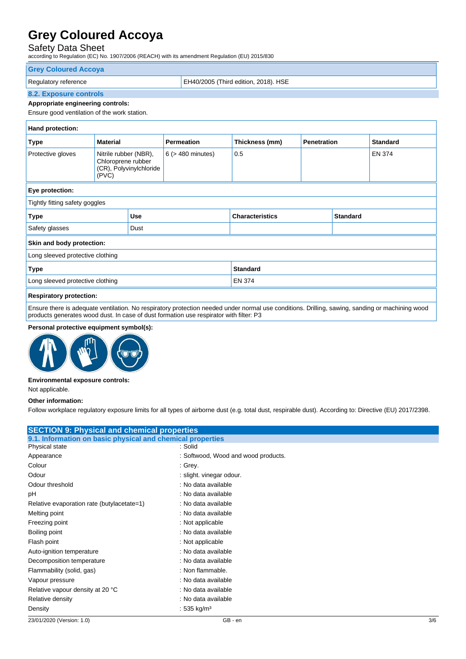### Safety Data Sheet

according to Regulation (EC) No. 1907/2006 (REACH) with its amendment Regulation (EU) 2015/830

| <b>Grey Coloured Accoya</b> |                                      |
|-----------------------------|--------------------------------------|
| Regulatory reference        | EH40/2005 (Third edition, 2018). HSE |
| 8.2. Exposure controls      |                                      |

### **Appropriate engineering controls:**

Ensure good ventilation of the work station.

| Hand protection:                 |                                                      |                         |                        |                        |                    |                 |                 |
|----------------------------------|------------------------------------------------------|-------------------------|------------------------|------------------------|--------------------|-----------------|-----------------|
| <b>Type</b>                      | <b>Material</b>                                      |                         | <b>Permeation</b>      | Thickness (mm)         | <b>Penetration</b> |                 | <b>Standard</b> |
| Protective gloves                | Nitrile rubber (NBR),<br>Chloroprene rubber<br>(PVC) | (CR), Polyvinylchloride | $6$ ( $>$ 480 minutes) | 0.5                    |                    |                 | <b>EN 374</b>   |
| Eye protection:                  |                                                      |                         |                        |                        |                    |                 |                 |
| Tightly fitting safety goggles   |                                                      |                         |                        |                        |                    |                 |                 |
| <b>Type</b>                      |                                                      | <b>Use</b>              |                        | <b>Characteristics</b> |                    | <b>Standard</b> |                 |
| Safety glasses                   |                                                      | Dust                    |                        |                        |                    |                 |                 |
| Skin and body protection:        |                                                      |                         |                        |                        |                    |                 |                 |
| Long sleeved protective clothing |                                                      |                         |                        |                        |                    |                 |                 |
| <b>Type</b><br><b>Standard</b>   |                                                      |                         |                        |                        |                    |                 |                 |
| Long sleeved protective clothing | <b>EN 374</b>                                        |                         |                        |                        |                    |                 |                 |
| <b>Respiratory protection:</b>   |                                                      |                         |                        |                        |                    |                 |                 |

Ensure there is adequate ventilation. No respiratory protection needed under normal use conditions. Drilling, sawing, sanding or machining wood products generates wood dust. In case of dust formation use respirator with filter: P3

#### **Personal protective equipment symbol(s):**



#### **Environmental exposure controls:**

Not applicable.

#### **Other information:**

Follow workplace regulatory exposure limits for all types of airborne dust (e.g. total dust, respirable dust). According to: Directive (EU) 2017/2398.

| <b>SECTION 9: Physical and chemical properties</b>         |                                     |  |  |  |
|------------------------------------------------------------|-------------------------------------|--|--|--|
| 9.1. Information on basic physical and chemical properties |                                     |  |  |  |
| Physical state                                             | :Solid                              |  |  |  |
| Appearance                                                 | : Softwood, Wood and wood products. |  |  |  |
| Colour                                                     | : Grey.                             |  |  |  |
| Odour                                                      | : slight. vinegar odour.            |  |  |  |
| Odour threshold                                            | : No data available                 |  |  |  |
| рH                                                         | : No data available                 |  |  |  |
| Relative evaporation rate (butylacetate=1)                 | : No data available                 |  |  |  |
| Melting point                                              | : No data available                 |  |  |  |
| Freezing point                                             | : Not applicable                    |  |  |  |
| Boiling point                                              | : No data available                 |  |  |  |
| Flash point                                                | : Not applicable                    |  |  |  |
| Auto-ignition temperature                                  | : No data available                 |  |  |  |
| Decomposition temperature                                  | : No data available                 |  |  |  |
| Flammability (solid, gas)                                  | : Non flammable.                    |  |  |  |
| Vapour pressure                                            | : No data available                 |  |  |  |
| Relative vapour density at 20 °C                           | : No data available                 |  |  |  |
| Relative density                                           | : No data available                 |  |  |  |
| Density                                                    | : 535 kg/m <sup>3</sup>             |  |  |  |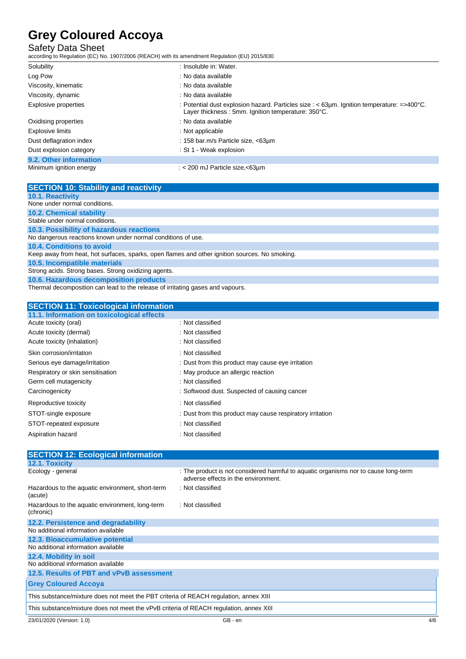### Safety Data Sheet

according to Regulation (EC) No. 1907/2006 (REACH) with its amendment Regulation (EU) 2015/830

| Solubility              | : Insoluble in: Water.                                                                                                                                           |
|-------------------------|------------------------------------------------------------------------------------------------------------------------------------------------------------------|
| Log Pow                 | : No data available                                                                                                                                              |
| Viscosity, kinematic    | : No data available                                                                                                                                              |
| Viscosity, dynamic      | : No data available                                                                                                                                              |
| Explosive properties    | : Potential dust explosion hazard. Particles size : $<$ 63µm. Ignition temperature: $=$ >400 $^{\circ}$ C.<br>Layer thickness: 5mm. Ignition temperature: 350°C. |
| Oxidising properties    | : No data available                                                                                                                                              |
| Explosive limits        | $:$ Not applicable                                                                                                                                               |
| Dust deflagration index | : 158 bar.m/s Particle size, <63um                                                                                                                               |
| Dust explosion category | : St 1 - Weak explosion                                                                                                                                          |
| 9.2. Other information  |                                                                                                                                                                  |
| Minimum ignition energy | : $<$ 200 mJ Particle size, $<$ 63µm                                                                                                                             |

| <b>SECTION 10: Stability and reactivity</b>                                                    |
|------------------------------------------------------------------------------------------------|
| 10.1. Reactivity                                                                               |
| None under normal conditions.                                                                  |
| <b>10.2. Chemical stability</b>                                                                |
| Stable under normal conditions.                                                                |
| 10.3. Possibility of hazardous reactions                                                       |
| No dangerous reactions known under normal conditions of use.                                   |
| 10.4. Conditions to avoid                                                                      |
| Keep away from heat, hot surfaces, sparks, open flames and other ignition sources. No smoking. |
| 10.5. Incompatible materials                                                                   |
| Strong acids. Strong bases. Strong oxidizing agents.                                           |
| 10.6. Hazardous decomposition products                                                         |
|                                                                                                |

Thermal decomposition can lead to the release of irritating gases and vapours.

#### **SECTION 11: Toxicological information**

| 11.1. Information on toxicological effects |                                                           |
|--------------------------------------------|-----------------------------------------------------------|
| Acute toxicity (oral)                      | : Not classified                                          |
| Acute toxicity (dermal)                    | : Not classified                                          |
| Acute toxicity (inhalation)                | : Not classified                                          |
| Skin corrosion/irritation                  | : Not classified                                          |
| Serious eye damage/irritation              | : Dust from this product may cause eye irritation         |
| Respiratory or skin sensitisation          | : May produce an allergic reaction                        |
| Germ cell mutagenicity                     | : Not classified                                          |
| Carcinogenicity                            | : Softwood dust. Suspected of causing cancer              |
| Reproductive toxicity                      | : Not classified                                          |
| STOT-single exposure                       | : Dust from this product may cause respiratory irritation |
| STOT-repeated exposure                     | : Not classified                                          |
| Aspiration hazard                          | : Not classified                                          |

| <b>SECTION 12: Ecological information</b>                                              |                                                                                                                            |     |
|----------------------------------------------------------------------------------------|----------------------------------------------------------------------------------------------------------------------------|-----|
| <b>12.1. Toxicity</b>                                                                  |                                                                                                                            |     |
| Ecology - general                                                                      | : The product is not considered harmful to aquatic organisms nor to cause long-term<br>adverse effects in the environment. |     |
| Hazardous to the aquatic environment, short-term<br>(acute)                            | : Not classified                                                                                                           |     |
| Hazardous to the aquatic environment, long-term<br>(chronic)                           | : Not classified                                                                                                           |     |
| 12.2. Persistence and degradability                                                    |                                                                                                                            |     |
| No additional information available                                                    |                                                                                                                            |     |
| 12.3. Bioaccumulative potential                                                        |                                                                                                                            |     |
| No additional information available                                                    |                                                                                                                            |     |
| 12.4. Mobility in soil                                                                 |                                                                                                                            |     |
| No additional information available                                                    |                                                                                                                            |     |
| 12.5. Results of PBT and vPvB assessment                                               |                                                                                                                            |     |
| <b>Grey Coloured Accova</b>                                                            |                                                                                                                            |     |
| This substance/mixture does not meet the PBT criteria of REACH regulation, annex XIII  |                                                                                                                            |     |
| This substance/mixture does not meet the vPvB criteria of REACH regulation, annex XIII |                                                                                                                            |     |
| 23/01/2020 (Version: 1.0)                                                              | GB - en                                                                                                                    | 4/6 |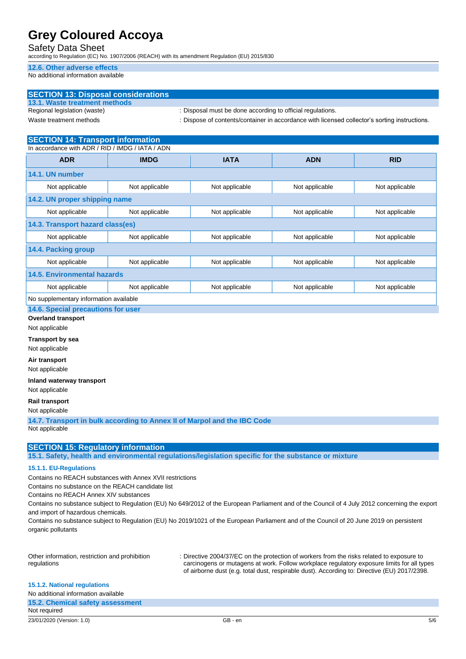#### Safety Data Sheet

according to Regulation (EC) No. 1907/2006 (REACH) with its amendment Regulation (EU) 2015/830

#### **12.6. Other adverse effects**

No additional information available

| <b>SECTION 13: Disposal considerations</b> |                                                                                               |
|--------------------------------------------|-----------------------------------------------------------------------------------------------|
| 13.1. Waste treatment methods              |                                                                                               |
| Regional legislation (waste)               | : Disposal must be done according to official regulations.                                    |
| Waste treatment methods                    | : Dispose of contents/container in accordance with licensed collector's sorting instructions. |

### **SECTION 14: Transport information**

| In accordance with ADR / RID / IMDG / IATA / ADN |                |                |                |                |
|--------------------------------------------------|----------------|----------------|----------------|----------------|
| <b>ADR</b>                                       | <b>IMDG</b>    | <b>IATA</b>    | <b>ADN</b>     | <b>RID</b>     |
| 14.1. UN number                                  |                |                |                |                |
| Not applicable                                   | Not applicable | Not applicable | Not applicable | Not applicable |
| 14.2. UN proper shipping name                    |                |                |                |                |
| Not applicable                                   | Not applicable | Not applicable | Not applicable | Not applicable |
| 14.3. Transport hazard class(es)                 |                |                |                |                |
| Not applicable                                   | Not applicable | Not applicable | Not applicable | Not applicable |
| 14.4. Packing group                              |                |                |                |                |
| Not applicable                                   | Not applicable | Not applicable | Not applicable | Not applicable |
| 14.5. Environmental hazards                      |                |                |                |                |
| Not applicable                                   | Not applicable | Not applicable | Not applicable | Not applicable |
| No supplementary information available           |                |                |                |                |

#### **14.6. Special precautions for user**

**Overland transport**

Not applicable

**Transport by sea**

Not applicable

**Air transport**

Not applicable

**Inland waterway transport**

Not applicable

**Rail transport**

Not applicable

**14.7. Transport in bulk according to Annex II of Marpol and the IBC Code** Not applicable

#### **SECTION 15: Regulatory information**

**15.1. Safety, health and environmental regulations/legislation specific for the substance or mixture**

#### **15.1.1. EU-Regulations**

Contains no REACH substances with Annex XVII restrictions

Contains no substance on the REACH candidate list

Contains no REACH Annex XIV substances

Contains no substance subject to Regulation (EU) No 649/2012 of the European Parliament and of the Council of 4 July 2012 concerning the export and import of hazardous chemicals.

Contains no substance subject to Regulation (EU) No 2019/1021 of the European Parliament and of the Council of 20 June 2019 on persistent organic pollutants

| Other information, restriction and prohibition | : Directive 2004/37/EC on the protection of workers from the risks related to exposure to    |
|------------------------------------------------|----------------------------------------------------------------------------------------------|
| regulations                                    | carcinogens or mutagens at work. Follow workplace regulatory exposure limits for all types   |
|                                                | of airborne dust (e.g. total dust, respirable dust). According to: Directive (EU) 2017/2398. |

|  | <b>15.1.2. National regulations</b> |  |  |
|--|-------------------------------------|--|--|
|--|-------------------------------------|--|--|

| No additional information available |         |     |
|-------------------------------------|---------|-----|
| 15.2. Chemical safety assessment    |         |     |
| Not required                        |         |     |
| 23/01/2020 (Version: 1.0)           | GB - en | 5/6 |